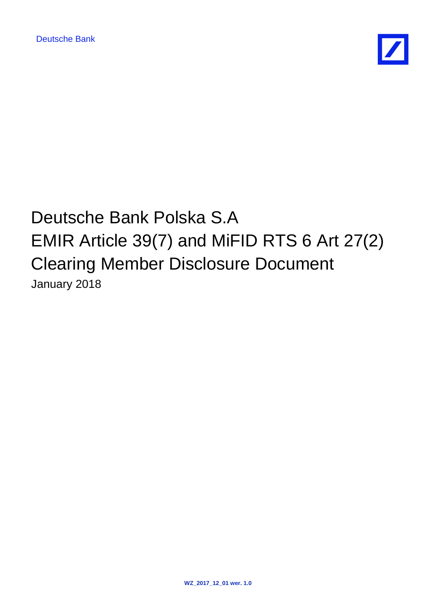

# Deutsche Bank Polska S.A EMIR Article 39(7) and MiFID RTS 6 Art 27(2) Clearing Member Disclosure Document January 2018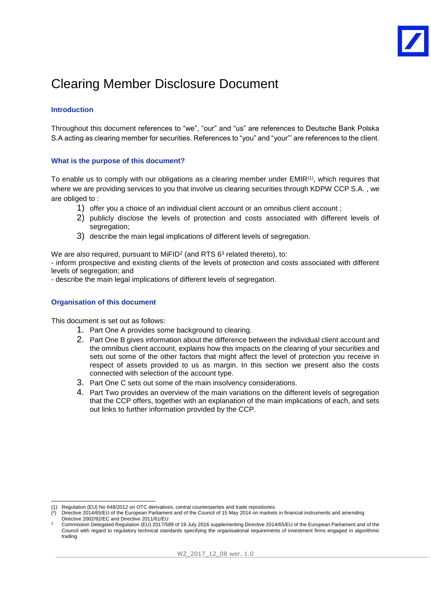### Clearing Member Disclosure Document

#### **Introduction**

Throughout this document references to "we", "our" and "us" are references to Deutsche Bank Polska S.A acting as clearing member for securities. References to "you" and "your"' are references to the client.

#### **What is the purpose of this document?**

To enable us to comply with our obligations as a clearing member under  $EMIR<sup>(1)</sup>$ , which requires that where we are providing services to you that involve us clearing securities through KDPW CCP S.A. , we are obliged to :

- 1) offer you a choice of an individual client account or an omnibus client account ;
- 2) publicly disclose the levels of protection and costs associated with different levels of segregation:
- 3) describe the main legal implications of different levels of segregation.

We are also required, pursuant to MiFID<sup>2</sup> (and RTS  $6<sup>3</sup>$  related thereto), to:

- inform prospective and existing clients of the levels of protection and costs associated with different levels of segregation; and

- describe the main legal implications of different levels of segregation.

#### **Organisation of this document**

1

This document is set out as follows:

- 1. Part One A provides some background to clearing.
- 2. Part One B gives information about the difference between the individual client account and the omnibus client account, explains how this impacts on the clearing of your securities and sets out some of the other factors that might affect the level of protection you receive in respect of assets provided to us as margin. In this section we present also the costs connected with selection of the account type.
- 3. Part One C sets out some of the main insolvency considerations.
- 4. Part Two provides an overview of the main variations on the different levels of segregation that the CCP offers, together with an explanation of the main implications of each, and sets out links to further information provided by the CCP.

<sup>(1)</sup> Regulation (EU) No 648/2012 on OTC derivatives, central counterparties and trade repositories.

<sup>(</sup> 2 ) Directive 2014/65/EU of the European Parliament and of the Council of 15 May 2014 on markets in financial instruments and amending Directive 2002/92/EC and Directive 2011/61/EU

<sup>3</sup> Commission Delegated Regulation (EU) 2017/589 of 19 July 2016 supplementing Directive 2014/65/EU of the European Parliament and of the Council with regard to regulatory technical standards specifying the organisational requirements of investment firms engaged in algorithmic trading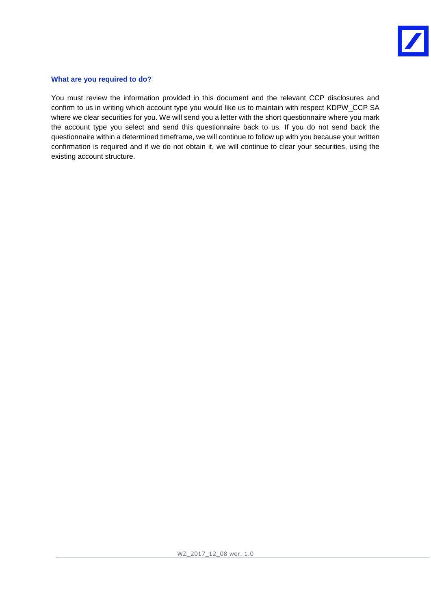

#### **What are you required to do?**

You must review the information provided in this document and the relevant CCP disclosures and confirm to us in writing which account type you would like us to maintain with respect KDPW\_CCP SA where we clear securities for you. We will send you a letter with the short questionnaire where you mark the account type you select and send this questionnaire back to us. If you do not send back the questionnaire within a determined timeframe, we will continue to follow up with you because your written confirmation is required and if we do not obtain it, we will continue to clear your securities, using the existing account structure.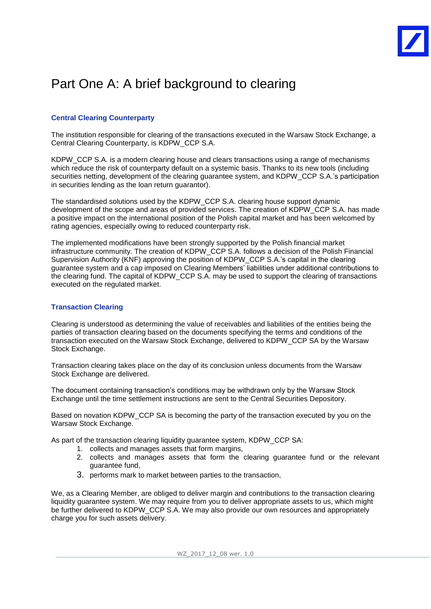### Part One A: A brief background to clearing

#### **Central Clearing Counterparty**

The institution responsible for clearing of the transactions executed in the Warsaw Stock Exchange, a Central Clearing Counterparty, is KDPW\_CCP S.A.

KDPW\_CCP S.A. is a modern clearing house and clears transactions using a range of mechanisms which reduce the risk of counterparty default on a systemic basis. Thanks to its new tools (including securities netting, development of the clearing guarantee system, and KDPW\_CCP S.A.'s participation in securities lending as the loan return guarantor).

The standardised solutions used by the KDPW\_CCP S.A. clearing house support dynamic development of the scope and areas of provided services. The creation of KDPW\_CCP S.A. has made a positive impact on the international position of the Polish capital market and has been welcomed by rating agencies, especially owing to reduced counterparty risk.

The implemented modifications have been strongly supported by the Polish financial market infrastructure community. The creation of KDPW\_CCP S.A. follows a decision of the Polish Financial Supervision Authority (KNF) approving the position of KDPW\_CCP S.A.'s capital in the clearing guarantee system and a cap imposed on Clearing Members' liabilities under additional contributions to the clearing fund. The capital of KDPW\_CCP S.A. may be used to support the clearing of transactions executed on the regulated market.

#### **Transaction Clearing**

Clearing is understood as determining the value of receivables and liabilities of the entities being the parties of transaction clearing based on the documents specifying the terms and conditions of the transaction executed on the Warsaw Stock Exchange, delivered to KDPW\_CCP SA by the Warsaw Stock Exchange.

Transaction clearing takes place on the day of its conclusion unless documents from the Warsaw Stock Exchange are delivered.

The document containing transaction's conditions may be withdrawn only by the Warsaw Stock Exchange until the time settlement instructions are sent to the Central Securities Depository.

Based on novation KDPW CCP SA is becoming the party of the transaction executed by you on the Warsaw Stock Exchange.

As part of the transaction clearing liquidity guarantee system, KDPW\_CCP SA:

- 1. collects and manages assets that form margins,
- 2. collects and manages assets that form the clearing guarantee fund or the relevant guarantee fund,
- 3. performs mark to market between parties to the transaction,

We, as a Clearing Member, are obliged to deliver margin and contributions to the transaction clearing liquidity guarantee system. We may require from you to deliver appropriate assets to us, which might be further delivered to KDPW\_CCP S.A. We may also provide our own resources and appropriately charge you for such assets delivery.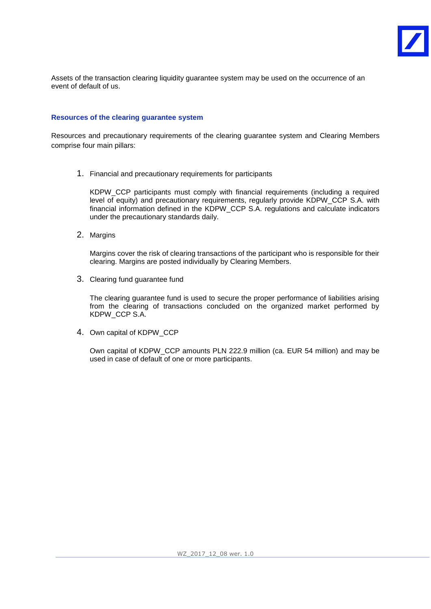

Assets of the transaction clearing liquidity guarantee system may be used on the occurrence of an event of default of us.

#### **Resources of the clearing guarantee system**

Resources and precautionary requirements of the clearing guarantee system and Clearing Members comprise four main pillars:

1. Financial and precautionary requirements for participants

KDPW\_CCP participants must comply with financial requirements (including a required level of equity) and precautionary requirements, regularly provide KDPW\_CCP S.A. with financial information defined in the KDPW\_CCP S.A. regulations and calculate indicators under the precautionary standards daily.

2. Margins

Margins cover the risk of clearing transactions of the participant who is responsible for their clearing. Margins are posted individually by Clearing Members.

3. Clearing fund guarantee fund

The clearing guarantee fund is used to secure the proper performance of liabilities arising from the clearing of transactions concluded on the organized market performed by KDPW\_CCP S.A.

4. Own capital of KDPW\_CCP

Own capital of KDPW\_CCP amounts PLN 222.9 million (ca. EUR 54 million) and may be used in case of default of one or more participants.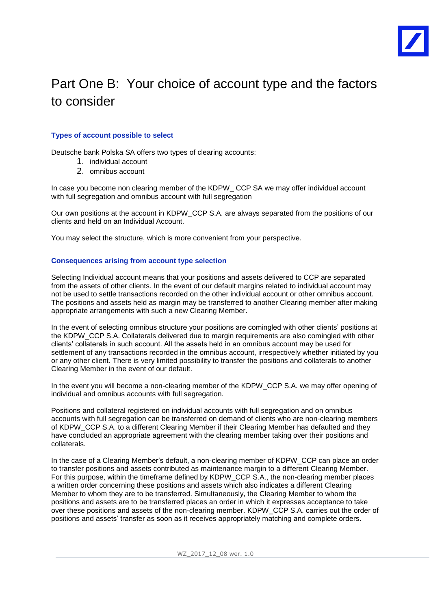

## Part One B: Your choice of account type and the factors to consider

#### **Types of account possible to select**

Deutsche bank Polska SA offers two types of clearing accounts:

- 1. individual account
- 2. omnibus account

In case you become non clearing member of the KDPW CCP SA we may offer individual account with full segregation and omnibus account with full segregation

Our own positions at the account in KDPW\_CCP S.A. are always separated from the positions of our clients and held on an Individual Account.

You may select the structure, which is more convenient from your perspective.

#### **Consequences arising from account type selection**

Selecting Individual account means that your positions and assets delivered to CCP are separated from the assets of other clients. In the event of our default margins related to individual account may not be used to settle transactions recorded on the other individual account or other omnibus account. The positions and assets held as margin may be transferred to another Clearing member after making appropriate arrangements with such a new Clearing Member.

In the event of selecting omnibus structure your positions are comingled with other clients' positions at the KDPW\_CCP S.A. Collaterals delivered due to margin requirements are also comingled with other clients' collaterals in such account. All the assets held in an omnibus account may be used for settlement of any transactions recorded in the omnibus account, irrespectively whether initiated by you or any other client. There is very limited possibility to transfer the positions and collaterals to another Clearing Member in the event of our default.

In the event you will become a non-clearing member of the KDPW\_CCP S.A. we may offer opening of individual and omnibus accounts with full segregation.

Positions and collateral registered on individual accounts with full segregation and on omnibus accounts with full segregation can be transferred on demand of clients who are non-clearing members of KDPW\_CCP S.A. to a different Clearing Member if their Clearing Member has defaulted and they have concluded an appropriate agreement with the clearing member taking over their positions and collaterals.

In the case of a Clearing Member's default, a non-clearing member of KDPW\_CCP can place an order to transfer positions and assets contributed as maintenance margin to a different Clearing Member. For this purpose, within the timeframe defined by KDPW\_CCP S.A., the non-clearing member places a written order concerning these positions and assets which also indicates a different Clearing Member to whom they are to be transferred. Simultaneously, the Clearing Member to whom the positions and assets are to be transferred places an order in which it expresses acceptance to take over these positions and assets of the non-clearing member. KDPW\_CCP S.A. carries out the order of positions and assets' transfer as soon as it receives appropriately matching and complete orders.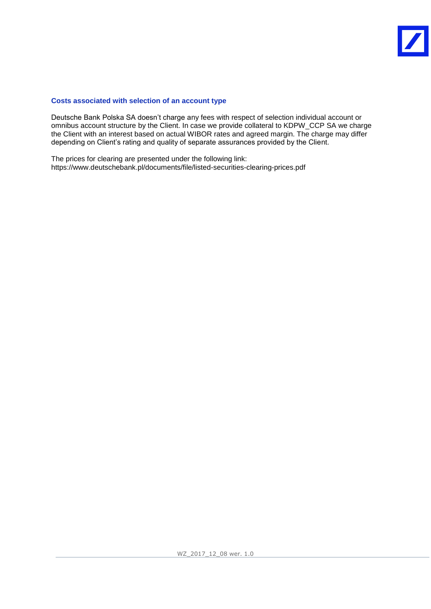#### **Costs associated with selection of an account type**

Deutsche Bank Polska SA doesn't charge any fees with respect of selection individual account or omnibus account structure by the Client. In case we provide collateral to KDPW\_CCP SA we charge the Client with an interest based on actual WIBOR rates and agreed margin. The charge may differ depending on Client's rating and quality of separate assurances provided by the Client.

The prices for clearing are presented under the following link: https://www.deutschebank.pl/documents/file/listed-securities-clearing-prices.pdf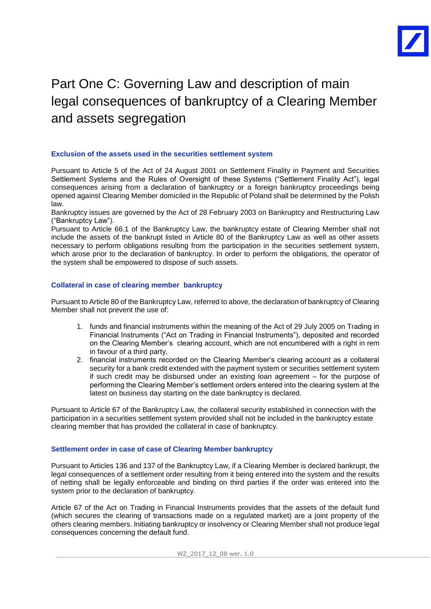

## Part One C: Governing Law and description of main legal consequences of bankruptcy of a Clearing Member and assets segregation

#### **Exclusion of the assets used in the securities settlement system**

Pursuant to Article 5 of the Act of 24 August 2001 on Settlement Finality in Payment and Securities Settlement Systems and the Rules of Oversight of these Systems ("Settlement Finality Act"), legal consequences arising from a declaration of bankruptcy or a foreign bankruptcy proceedings being opened against Clearing Member domiciled in the Republic of Poland shall be determined by the Polish law.

Bankruptcy issues are governed by the Act of 28 February 2003 on Bankruptcy and Restructuring Law ("Bankruptcy Law").

Pursuant to Article 66.1 of the Bankruptcy Law, the bankruptcy estate of Clearing Member shall not include the assets of the bankrupt listed in Article 80 of the Bankruptcy Law as well as other assets necessary to perform obligations resulting from the participation in the securities settlement system, which arose prior to the declaration of bankruptcy. In order to perform the obligations, the operator of the system shall be empowered to dispose of such assets.

#### **Collateral in case of clearing member bankruptcy**

Pursuant to Article 80 of the Bankruptcy Law, referred to above, the declaration of bankruptcy of Clearing Member shall not prevent the use of:

- 1. funds and financial instruments within the meaning of the Act of 29 July 2005 on Trading in Financial Instruments ("Act on Trading in Financial Instruments"), deposited and recorded on the Clearing Member's clearing account, which are not encumbered with a right in rem in favour of a third party,
- 2. financial instruments recorded on the Clearing Member's clearing account as a collateral security for a bank credit extended with the payment system or securities settlement system if such credit may be disbursed under an existing loan agreement – for the purpose of performing the Clearing Member's settlement orders entered into the clearing system at the latest on business day starting on the date bankruptcy is declared.

Pursuant to Article 67 of the Bankruptcy Law, the collateral security established in connection with the participation in a securities settlement system provided shall not be included in the bankruptcy estate clearing member that has provided the collateral in case of bankruptcy.

#### **Settlement order in case of case of Clearing Member bankruptcy**

Pursuant to Articles 136 and 137 of the Bankruptcy Law, if a Clearing Member is declared bankrupt, the legal consequences of a settlement order resulting from it being entered into the system and the results of netting shall be legally enforceable and binding on third parties if the order was entered into the system prior to the declaration of bankruptcy.

Article 67 of the Act on Trading in Financial Instruments provides that the assets of the default fund (which secures the clearing of transactions made on a regulated market) are a joint property of the others clearing members. Initiating bankruptcy or insolvency or Clearing Member shall not produce legal consequences concerning the default fund.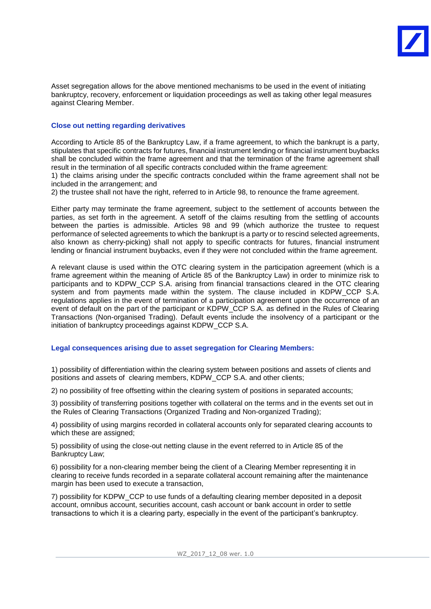Asset segregation allows for the above mentioned mechanisms to be used in the event of initiating bankruptcy, recovery, enforcement or liquidation proceedings as well as taking other legal measures against Clearing Member.

#### **Close out netting regarding derivatives**

According to Article 85 of the Bankruptcy Law, if a frame agreement, to which the bankrupt is a party, stipulates that specific contracts for futures, financial instrument lending or financial instrument buybacks shall be concluded within the frame agreement and that the termination of the frame agreement shall result in the termination of all specific contracts concluded within the frame agreement:

1) the claims arising under the specific contracts concluded within the frame agreement shall not be included in the arrangement; and

2) the trustee shall not have the right, referred to in Article 98, to renounce the frame agreement.

Either party may terminate the frame agreement, subject to the settlement of accounts between the parties, as set forth in the agreement. A setoff of the claims resulting from the settling of accounts between the parties is admissible. Articles 98 and 99 (which authorize the trustee to request performance of selected agreements to which the bankrupt is a party or to rescind selected agreements, also known as cherry-picking) shall not apply to specific contracts for futures, financial instrument lending or financial instrument buybacks, even if they were not concluded within the frame agreement.

A relevant clause is used within the OTC clearing system in the participation agreement (which is a frame agreement within the meaning of Article 85 of the Bankruptcy Law) in order to minimize risk to participants and to KDPW\_CCP S.A. arising from financial transactions cleared in the OTC clearing system and from payments made within the system. The clause included in KDPW\_CCP S.A. regulations applies in the event of termination of a participation agreement upon the occurrence of an event of default on the part of the participant or KDPW\_CCP S.A. as defined in the Rules of Clearing Transactions (Non-organised Trading). Default events include the insolvency of a participant or the initiation of bankruptcy proceedings against KDPW\_CCP S.A.

#### **Legal consequences arising due to asset segregation for Clearing Members:**

1) possibility of differentiation within the clearing system between positions and assets of clients and positions and assets of clearing members, KDPW\_CCP S.A. and other clients;

2) no possibility of free offsetting within the clearing system of positions in separated accounts;

3) possibility of transferring positions together with collateral on the terms and in the events set out in the Rules of Clearing Transactions (Organized Trading and Non-organized Trading);

4) possibility of using margins recorded in collateral accounts only for separated clearing accounts to which these are assigned;

5) possibility of using the close-out netting clause in the event referred to in Article 85 of the Bankruptcy Law;

6) possibility for a non-clearing member being the client of a Clearing Member representing it in clearing to receive funds recorded in a separate collateral account remaining after the maintenance margin has been used to execute a transaction,

7) possibility for KDPW\_CCP to use funds of a defaulting clearing member deposited in a deposit account, omnibus account, securities account, cash account or bank account in order to settle transactions to which it is a clearing party, especially in the event of the participant's bankruptcy.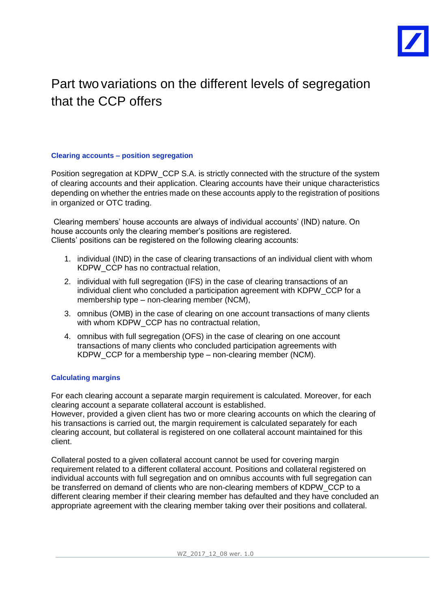

### Part two variations on the different levels of segregation that the CCP offers

#### **Clearing accounts – position segregation**

Position segregation at KDPW\_CCP S.A. is strictly connected with the structure of the system of clearing accounts and their application. Clearing accounts have their unique characteristics depending on whether the entries made on these accounts apply to the registration of positions in organized or OTC trading.

Clearing members' house accounts are always of individual accounts' (IND) nature. On house accounts only the clearing member's positions are registered. Clients' positions can be registered on the following clearing accounts:

- 1. individual (IND) in the case of clearing transactions of an individual client with whom KDPW\_CCP has no contractual relation,
- 2. individual with full segregation (IFS) in the case of clearing transactions of an individual client who concluded a participation agreement with KDPW\_CCP for a membership type – non-clearing member (NCM),
- 3. omnibus (OMB) in the case of clearing on one account transactions of many clients with whom KDPW CCP has no contractual relation,
- 4. omnibus with full segregation (OFS) in the case of clearing on one account transactions of many clients who concluded participation agreements with KDPW\_CCP for a membership type – non-clearing member (NCM).

#### **Calculating margins**

For each clearing account a separate margin requirement is calculated. Moreover, for each clearing account a separate collateral account is established.

However, provided a given client has two or more clearing accounts on which the clearing of his transactions is carried out, the margin requirement is calculated separately for each clearing account, but collateral is registered on one collateral account maintained for this client.

Collateral posted to a given collateral account cannot be used for covering margin requirement related to a different collateral account. Positions and collateral registered on individual accounts with full segregation and on omnibus accounts with full segregation can be transferred on demand of clients who are non-clearing members of KDPW CCP to a different clearing member if their clearing member has defaulted and they have concluded an appropriate agreement with the clearing member taking over their positions and collateral.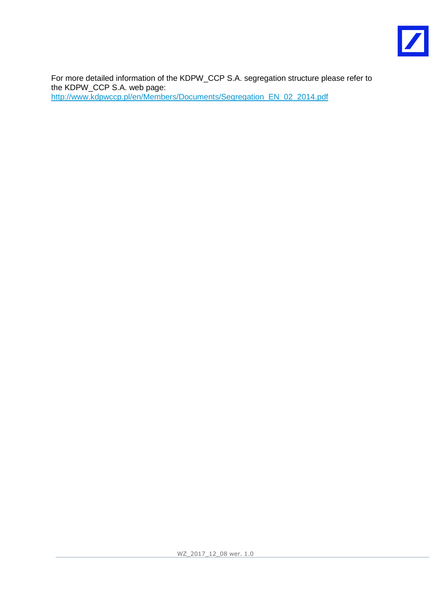

For more detailed information of the KDPW\_CCP S.A. segregation structure please refer to the KDPW\_CCP S.A. web page: [http://www.kdpwccp.pl/en/Members/Documents/Segregation\\_EN\\_02\\_2014.pdf](http://www.kdpwccp.pl/en/Members/Documents/Segregation_EN_02_2014.pdf)